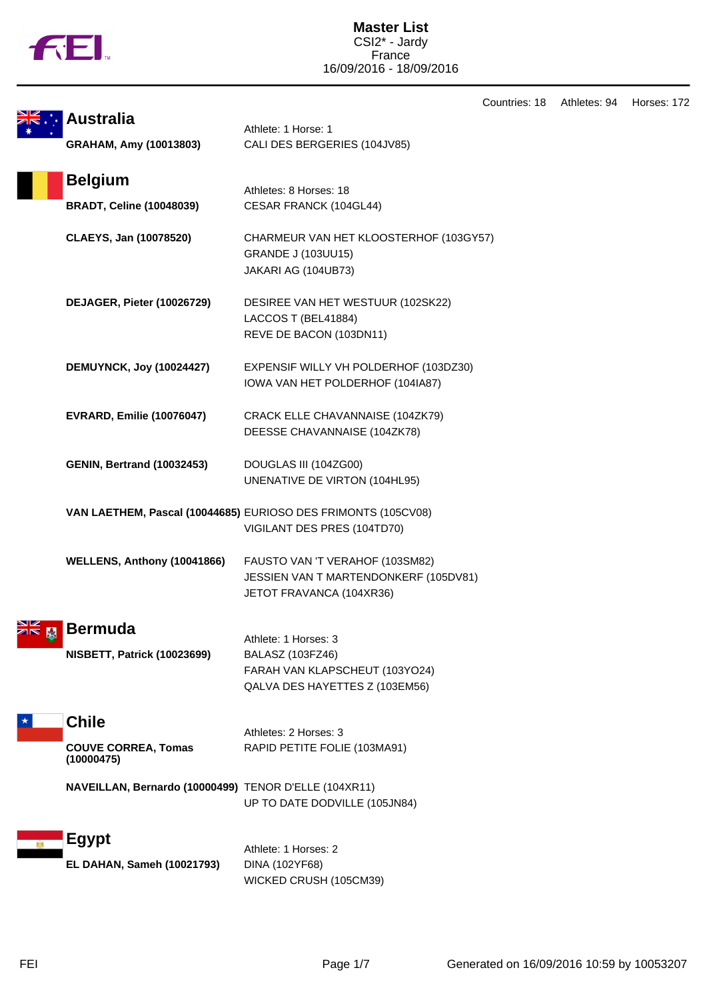|  | Ν |
|--|---|
|  |   |

Countries: 18 Athletes: 94 Horses: 172

| <b>Australia</b>                                         | Athlete: 1 Horse: 1                                                                                          |
|----------------------------------------------------------|--------------------------------------------------------------------------------------------------------------|
| GRAHAM, Amy (10013803)                                   | CALI DES BERGERIES (104JV85)                                                                                 |
| <b>Belgium</b><br><b>BRADT, Celine (10048039)</b>        | Athletes: 8 Horses: 18<br>CESAR FRANCK (104GL44)                                                             |
| CLAEYS, Jan (10078520)                                   | CHARMEUR VAN HET KLOOSTERHOF (103GY57)<br><b>GRANDE J (103UU15)</b><br>JAKARI AG (104UB73)                   |
| DEJAGER, Pieter (10026729)                               | DESIREE VAN HET WESTUUR (102SK22)<br>LACCOS T (BEL41884)<br>REVE DE BACON (103DN11)                          |
| <b>DEMUYNCK, Joy (10024427)</b>                          | EXPENSIF WILLY VH POLDERHOF (103DZ30)<br>IOWA VAN HET POLDERHOF (104IA87)                                    |
| <b>EVRARD, Emilie (10076047)</b>                         | CRACK ELLE CHAVANNAISE (104ZK79)<br>DEESSE CHAVANNAISE (104ZK78)                                             |
| <b>GENIN, Bertrand (10032453)</b>                        | DOUGLAS III (104ZG00)<br>UNENATIVE DE VIRTON (104HL95)                                                       |
|                                                          | VAN LAETHEM, Pascal (10044685) EURIOSO DES FRIMONTS (105CV08)<br>VIGILANT DES PRES (104TD70)                 |
| WELLENS, Anthony (10041866)                              | FAUSTO VAN 'T VERAHOF (103SM82)<br>JESSIEN VAN T MARTENDONKERF (105DV81)<br>JETOT FRAVANCA (104XR36)         |
| <b>Bermuda</b><br><b>NISBETT, Patrick (10023699)</b>     | Athlete: 1 Horses: 3<br>BALASZ (103FZ46)<br>FARAH VAN KLAPSCHEUT (103YO24)<br>QALVA DES HAYETTES Z (103EM56) |
| <b>Chile</b><br><b>COUVE CORREA, Tomas</b><br>(10000475) | Athletes: 2 Horses: 3<br>RAPID PETITE FOLIE (103MA91)                                                        |
| NAVEILLAN, Bernardo (10000499) TENOR D'ELLE (104XR11)    | UP TO DATE DODVILLE (105JN84)                                                                                |
| <b>Egypt</b><br>EL DAHAN, Sameh (10021793)               | Athlete: 1 Horses: 2<br>DINA (102YF68)<br>WICKED CRUSH (105CM39)                                             |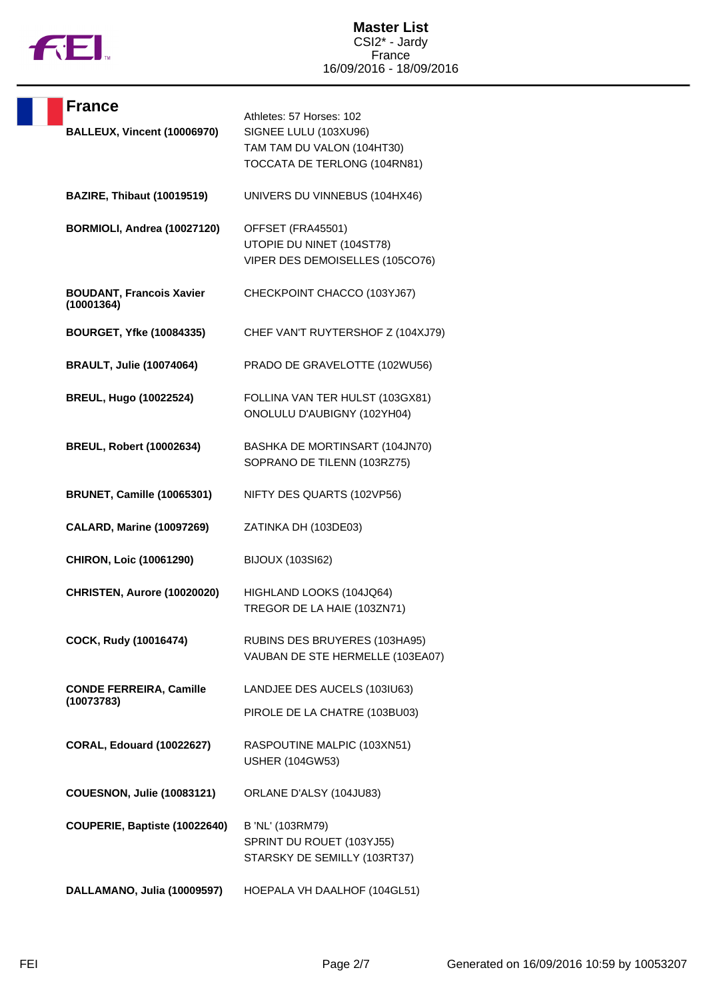

| <b>France</b>                                 | Athletes: 57 Horses: 102                                                          |
|-----------------------------------------------|-----------------------------------------------------------------------------------|
| BALLEUX, Vincent (10006970)                   | SIGNEE LULU (103XU96)                                                             |
|                                               | TAM TAM DU VALON (104HT30)<br>TOCCATA DE TERLONG (104RN81)                        |
| <b>BAZIRE, Thibaut (10019519)</b>             | UNIVERS DU VINNEBUS (104HX46)                                                     |
| BORMIOLI, Andrea (10027120)                   | OFFSET (FRA45501)<br>UTOPIE DU NINET (104ST78)<br>VIPER DES DEMOISELLES (105CO76) |
| <b>BOUDANT, Francois Xavier</b><br>(10001364) | CHECKPOINT CHACCO (103YJ67)                                                       |
| <b>BOURGET, Yfke (10084335)</b>               | CHEF VAN'T RUYTERSHOF Z (104XJ79)                                                 |
| <b>BRAULT, Julie (10074064)</b>               | PRADO DE GRAVELOTTE (102WU56)                                                     |
| <b>BREUL, Hugo (10022524)</b>                 | FOLLINA VAN TER HULST (103GX81)<br>ONOLULU D'AUBIGNY (102YH04)                    |
| <b>BREUL, Robert (10002634)</b>               | BASHKA DE MORTINSART (104JN70)<br>SOPRANO DE TILENN (103RZ75)                     |
| <b>BRUNET, Camille (10065301)</b>             | NIFTY DES QUARTS (102VP56)                                                        |
| <b>CALARD, Marine (10097269)</b>              | ZATINKA DH (103DE03)                                                              |
| <b>CHIRON, Loic (10061290)</b>                | <b>BIJOUX (103SI62)</b>                                                           |
| CHRISTEN, Aurore (10020020)                   | HIGHLAND LOOKS (104JQ64)<br>TREGOR DE LA HAIE (103ZN71)                           |
| COCK, Rudy (10016474)                         | RUBINS DES BRUYERES (103HA95)<br>VAUBAN DE STE HERMELLE (103EA07)                 |
| <b>CONDE FERREIRA, Camille</b>                | LANDJEE DES AUCELS (103IU63)                                                      |
| (10073783)                                    | PIROLE DE LA CHATRE (103BU03)                                                     |
| <b>CORAL, Edouard (10022627)</b>              | RASPOUTINE MALPIC (103XN51)<br><b>USHER (104GW53)</b>                             |
| <b>COUESNON, Julie (10083121)</b>             | ORLANE D'ALSY (104JU83)                                                           |
| COUPERIE, Baptiste (10022640)                 | B 'NL' (103RM79)<br>SPRINT DU ROUET (103YJ55)<br>STARSKY DE SEMILLY (103RT37)     |
| DALLAMANO, Julia (10009597)                   | HOEPALA VH DAALHOF (104GL51)                                                      |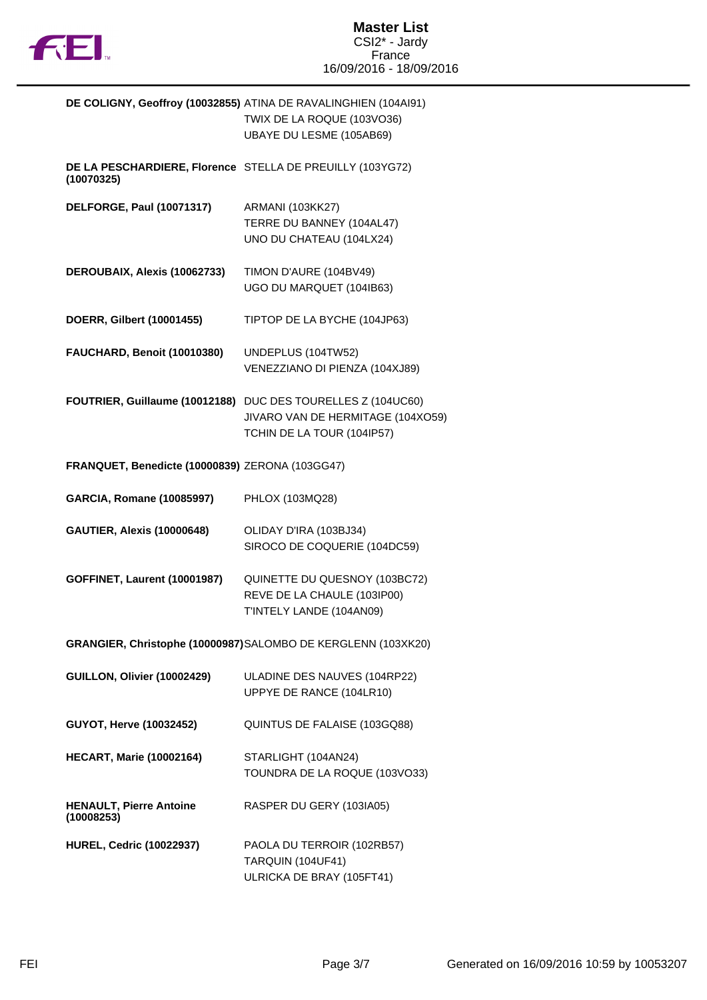

|                                                                         | DE COLIGNY, Geoffroy (10032855) ATINA DE RAVALINGHIEN (104AI91)<br>TWIX DE LA ROQUE (103VO36)<br>UBAYE DU LESME (105AB69)       |
|-------------------------------------------------------------------------|---------------------------------------------------------------------------------------------------------------------------------|
| DE LA PESCHARDIERE, Florence STELLA DE PREUILLY (103YG72)<br>(10070325) |                                                                                                                                 |
| <b>DELFORGE, Paul (10071317)</b>                                        | <b>ARMANI (103KK27)</b><br>TERRE DU BANNEY (104AL47)<br>UNO DU CHATEAU (104LX24)                                                |
| DEROUBAIX, Alexis (10062733)                                            | TIMON D'AURE (104BV49)<br>UGO DU MARQUET (104IB63)                                                                              |
| DOERR, Gilbert (10001455)                                               | TIPTOP DE LA BYCHE (104JP63)                                                                                                    |
| FAUCHARD, Benoit (10010380)                                             | UNDEPLUS (104TW52)<br>VENEZZIANO DI PIENZA (104XJ89)                                                                            |
|                                                                         | FOUTRIER, Guillaume (10012188) DUC DES TOURELLES Z (104UC60)<br>JIVARO VAN DE HERMITAGE (104XO59)<br>TCHIN DE LA TOUR (104IP57) |
| FRANQUET, Benedicte (10000839) ZERONA (103GG47)                         |                                                                                                                                 |
| <b>GARCIA, Romane (10085997)</b>                                        | PHLOX (103MQ28)                                                                                                                 |
| <b>GAUTIER, Alexis (10000648)</b>                                       | OLIDAY D'IRA (103BJ34)<br>SIROCO DE COQUERIE (104DC59)                                                                          |
| <b>GOFFINET, Laurent (10001987)</b>                                     | QUINETTE DU QUESNOY (103BC72)<br>REVE DE LA CHAULE (103IP00)<br>T'INTELY LANDE (104AN09)                                        |
|                                                                         | GRANGIER, Christophe (10000987) SALOMBO DE KERGLENN (103XK20)                                                                   |
| GUILLON, Olivier (10002429)                                             | ULADINE DES NAUVES (104RP22)<br>UPPYE DE RANCE (104LR10)                                                                        |
| GUYOT, Herve (10032452)                                                 | QUINTUS DE FALAISE (103GQ88)                                                                                                    |
| <b>HECART, Marie (10002164)</b>                                         | STARLIGHT (104AN24)<br>TOUNDRA DE LA ROQUE (103VO33)                                                                            |
| <b>HENAULT, Pierre Antoine</b><br>(10008253)                            | RASPER DU GERY (103IA05)                                                                                                        |
| <b>HUREL, Cedric (10022937)</b>                                         | PAOLA DU TERROIR (102RB57)<br>TARQUIN (104UF41)<br>ULRICKA DE BRAY (105FT41)                                                    |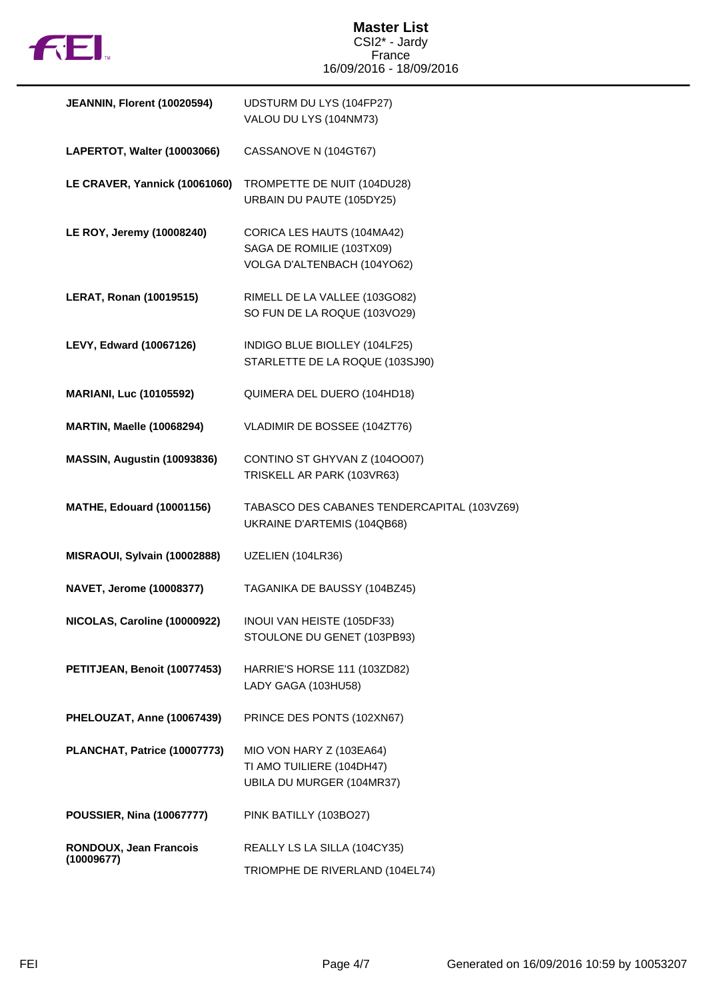

| JEANNIN, Florent (10020594)          | UDSTURM DU LYS (104FP27)<br>VALOU DU LYS (104NM73)                                     |
|--------------------------------------|----------------------------------------------------------------------------------------|
| LAPERTOT, Walter (10003066)          | CASSANOVE N (104GT67)                                                                  |
| LE CRAVER, Yannick (10061060)        | TROMPETTE DE NUIT (104DU28)<br>URBAIN DU PAUTE (105DY25)                               |
| LE ROY, Jeremy (10008240)            | CORICA LES HAUTS (104MA42)<br>SAGA DE ROMILIE (103TX09)<br>VOLGA D'ALTENBACH (104YO62) |
| <b>LERAT, Ronan (10019515)</b>       | RIMELL DE LA VALLEE (103GO82)<br>SO FUN DE LA ROQUE (103VO29)                          |
| LEVY, Edward (10067126)              | INDIGO BLUE BIOLLEY (104LF25)<br>STARLETTE DE LA ROQUE (103SJ90)                       |
| <b>MARIANI, Luc (10105592)</b>       | QUIMERA DEL DUERO (104HD18)                                                            |
| <b>MARTIN, Maelle (10068294)</b>     | VLADIMIR DE BOSSEE (104ZT76)                                                           |
| MASSIN, Augustin (10093836)          | CONTINO ST GHYVAN Z (1040007)<br>TRISKELL AR PARK (103VR63)                            |
| <b>MATHE, Edouard (10001156)</b>     | TABASCO DES CABANES TENDERCAPITAL (103VZ69)<br>UKRAINE D'ARTEMIS (104QB68)             |
| MISRAOUI, Sylvain (10002888)         | UZELIEN (104LR36)                                                                      |
| NAVET, Jerome (10008377)             | TAGANIKA DE BAUSSY (104BZ45)                                                           |
| NICOLAS, Caroline (10000922)         | INOUI VAN HEISTE (105DF33)<br>STOULONE DU GENET (103PB93)                              |
| PETITJEAN, Benoit (10077453)         | HARRIE'S HORSE 111 (103ZD82)<br>LADY GAGA (103HU58)                                    |
| PHELOUZAT, Anne (10067439)           | PRINCE DES PONTS (102XN67)                                                             |
| PLANCHAT, Patrice (10007773)         | MIO VON HARY Z (103EA64)<br>TI AMO TUILIERE (104DH47)<br>UBILA DU MURGER (104MR37)     |
| <b>POUSSIER, Nina (10067777)</b>     | PINK BATILLY (103BO27)                                                                 |
| RONDOUX, Jean Francois<br>(10009677) | REALLY LS LA SILLA (104CY35)<br>TRIOMPHE DE RIVERLAND (104EL74)                        |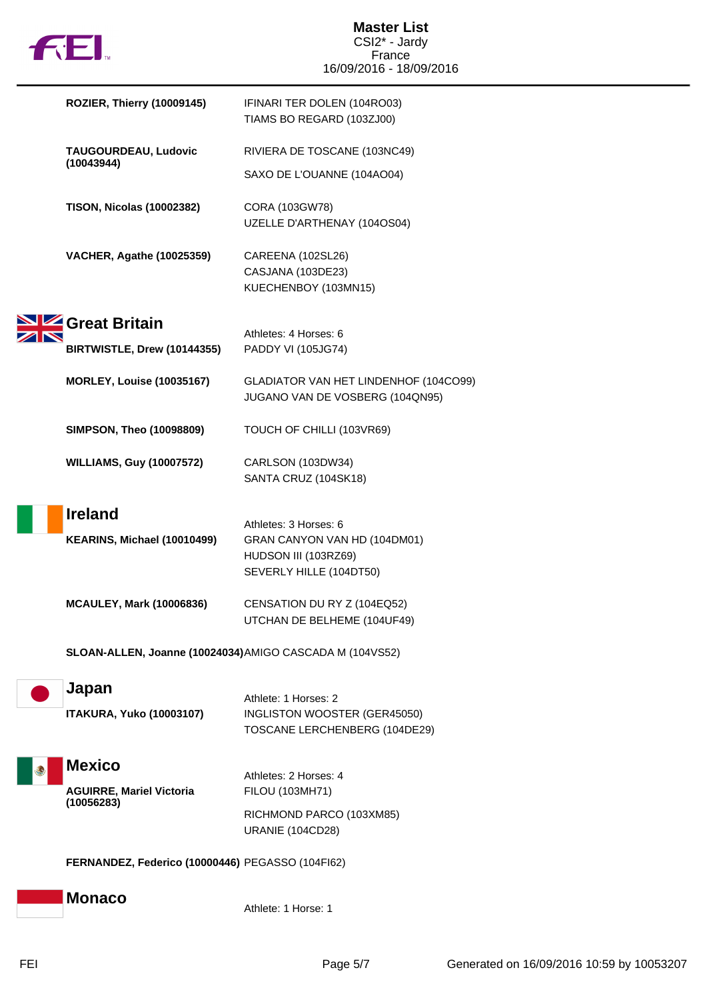|  | ΤM |
|--|----|

| <b>ROZIER, Thierry (10009145)</b>                        | IFINARI TER DOLEN (104RO03)<br>TIAMS BO REGARD (103ZJ00)                                                 |
|----------------------------------------------------------|----------------------------------------------------------------------------------------------------------|
| TAUGOURDEAU, Ludovic                                     | RIVIERA DE TOSCANE (103NC49)                                                                             |
| (10043944)                                               | SAXO DE L'OUANNE (104AO04)                                                                               |
| <b>TISON, Nicolas (10002382)</b>                         | CORA (103GW78)<br>UZELLE D'ARTHENAY (104OS04)                                                            |
| <b>VACHER, Agathe (10025359)</b>                         | CAREENA (102SL26)<br>CASJANA (103DE23)<br>KUECHENBOY (103MN15)                                           |
| Great Britain                                            | Athletes: 4 Horses: 6                                                                                    |
| BIRTWISTLE, Drew (10144355)                              | PADDY VI (105JG74)                                                                                       |
| <b>MORLEY, Louise (10035167)</b>                         | GLADIATOR VAN HET LINDENHOF (104CO99)<br>JUGANO VAN DE VOSBERG (104QN95)                                 |
| <b>SIMPSON, Theo (10098809)</b>                          | TOUCH OF CHILLI (103VR69)                                                                                |
| <b>WILLIAMS, Guy (10007572)</b>                          | CARLSON (103DW34)<br>SANTA CRUZ (104SK18)                                                                |
| <b>Ireland</b><br>KEARINS, Michael (10010499)            | Athletes: 3 Horses: 6<br>GRAN CANYON VAN HD (104DM01)<br>HUDSON III (103RZ69)<br>SEVERLY HILLE (104DT50) |
| <b>MCAULEY, Mark (10006836)</b>                          | CENSATION DU RY Z (104EQ52)<br>UTCHAN DE BELHEME (104UF49)                                               |
| SLOAN-ALLEN, Joanne (10024034) AMIGO CASCADA M (104VS52) |                                                                                                          |
| Japan                                                    | Athlete: 1 Horses: 2                                                                                     |
| <b>ITAKURA, Yuko (10003107)</b>                          | INGLISTON WOOSTER (GER45050)<br>TOSCANE LERCHENBERG (104DE29)                                            |
| <b>Mexico</b>                                            |                                                                                                          |
| <b>AGUIRRE, Mariel Victoria</b><br>(10056283)            | Athletes: 2 Horses: 4<br>FILOU (103MH71)                                                                 |
|                                                          | RICHMOND PARCO (103XM85)<br><b>URANIE (104CD28)</b>                                                      |
| FERNANDEZ, Federico (10000446) PEGASSO (104FI62)         |                                                                                                          |
| <b>Monaco</b>                                            | Athlete: 1 Horse: 1                                                                                      |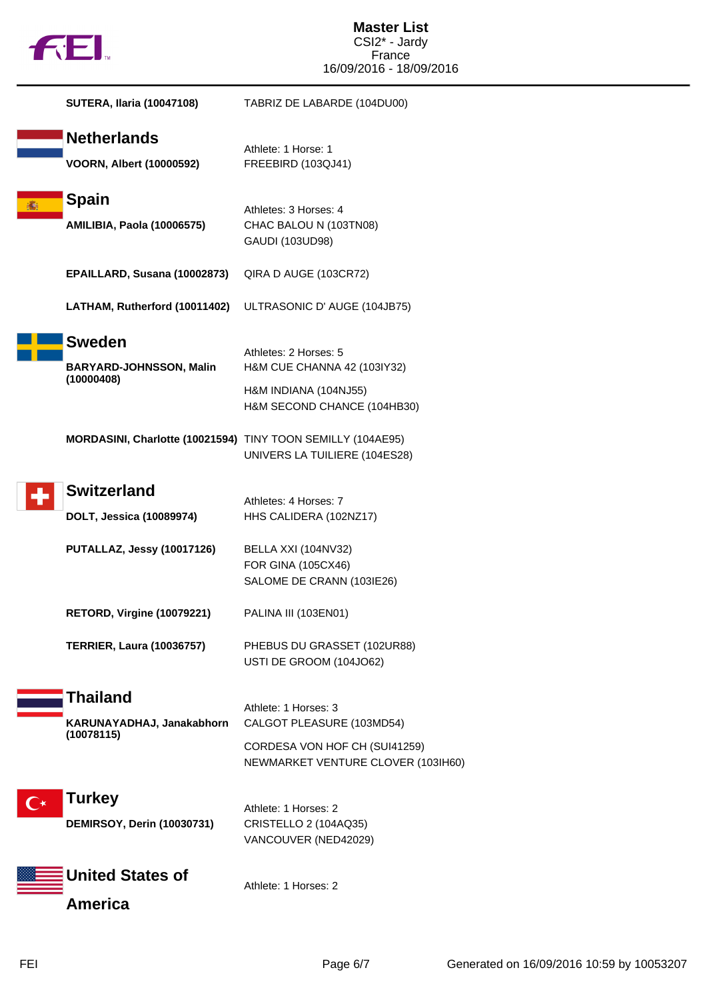|  | <b>TM</b> |
|--|-----------|
|  |           |

| <b>SUTERA, Ilaria (10047108)</b>                              | TABRIZ DE LABARDE (104DU00)                                                                                              |
|---------------------------------------------------------------|--------------------------------------------------------------------------------------------------------------------------|
| <b>Netherlands</b><br><b>VOORN, Albert (10000592)</b>         | Athlete: 1 Horse: 1<br>FREEBIRD (103QJ41)                                                                                |
| Spain<br><b>AMILIBIA, Paola (10006575)</b>                    | Athletes: 3 Horses: 4<br>CHAC BALOU N (103TN08)<br>GAUDI (103UD98)                                                       |
| EPAILLARD, Susana (10002873)                                  | QIRA D AUGE (103CR72)                                                                                                    |
| LATHAM, Rutherford (10011402)                                 | ULTRASONIC D' AUGE (104JB75)                                                                                             |
| <b>Sweden</b><br><b>BARYARD-JOHNSSON, Malin</b><br>(10000408) | Athletes: 2 Horses: 5<br>H&M CUE CHANNA 42 (103IY32)<br>H&M INDIANA (104NJ55)<br>H&M SECOND CHANCE (104HB30)             |
| MORDASINI, Charlotte (10021594) TINY TOON SEMILLY (104AE95)   | UNIVERS LA TUILIERE (104ES28)                                                                                            |
| <b>Switzerland</b><br>DOLT, Jessica (10089974)                | Athletes: 4 Horses: 7<br>HHS CALIDERA (102NZ17)                                                                          |
| PUTALLAZ, Jessy (10017126)                                    | BELLA XXI (104NV32)<br>FOR GINA (105CX46)<br>SALOME DE CRANN (103IE26)                                                   |
| <b>RETORD, Virgine (10079221)</b>                             | PALINA III (103EN01)                                                                                                     |
| <b>TERRIER, Laura (10036757)</b>                              | PHEBUS DU GRASSET (102UR88)<br>USTI DE GROOM (104JO62)                                                                   |
| Thailand<br>KARUNAYADHAJ, Janakabhorn<br>(10078115)           | Athlete: 1 Horses: 3<br>CALGOT PLEASURE (103MD54)<br>CORDESA VON HOF CH (SUI41259)<br>NEWMARKET VENTURE CLOVER (103IH60) |
| <b>Turkey</b><br><b>DEMIRSOY, Derin (10030731)</b>            | Athlete: 1 Horses: 2<br>CRISTELLO 2 (104AQ35)<br>VANCOUVER (NED42029)                                                    |
| <b>United States of</b><br><b>America</b>                     | Athlete: 1 Horses: 2                                                                                                     |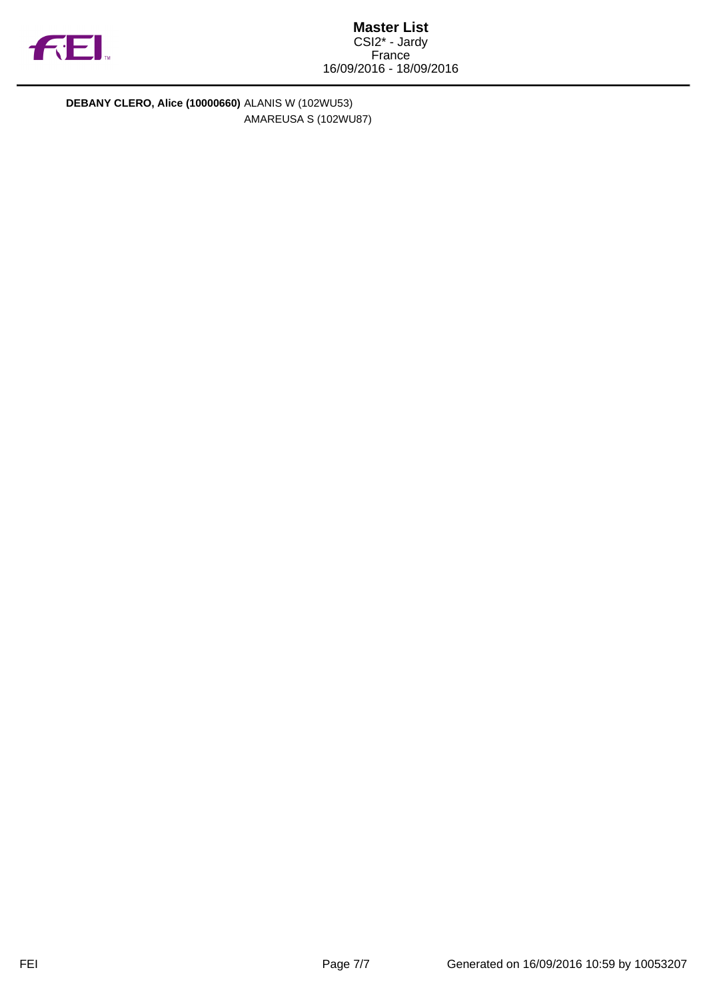

**DEBANY CLERO, Alice (10000660)** ALANIS W (102WU53) AMAREUSA S (102WU87)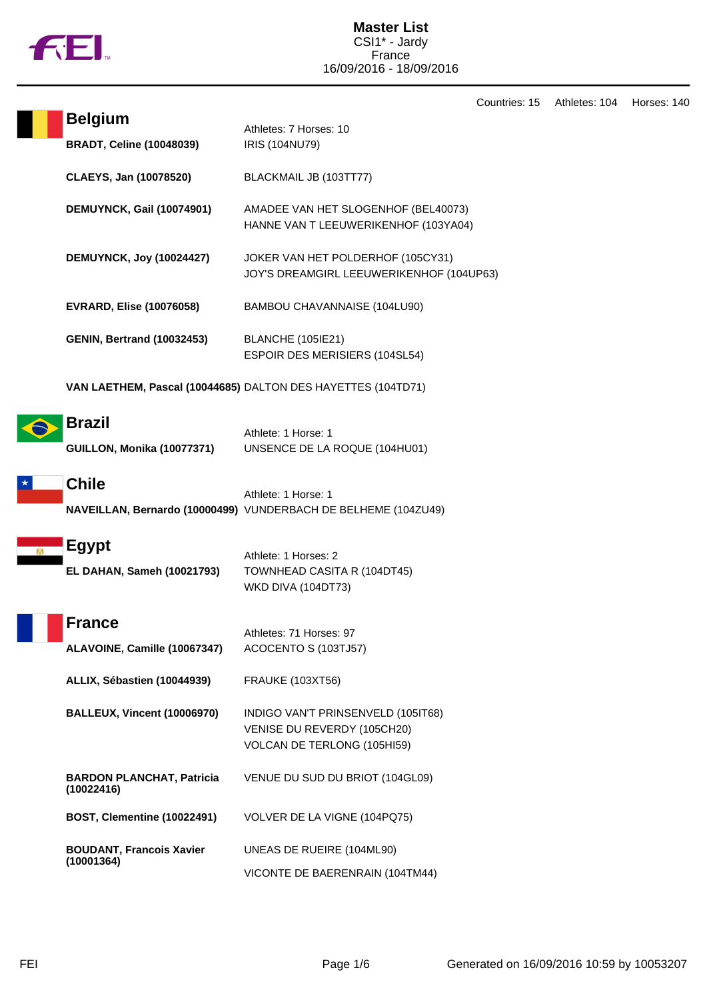

|                        |                                                    |                                                                                                  | Countries: 15 | Athletes: 104 | Horses: 140 |
|------------------------|----------------------------------------------------|--------------------------------------------------------------------------------------------------|---------------|---------------|-------------|
|                        | <b>Belgium</b><br><b>BRADT, Celine (10048039)</b>  | Athletes: 7 Horses: 10<br>IRIS (104NU79)                                                         |               |               |             |
| CLAEYS, Jan (10078520) |                                                    | BLACKMAIL JB (103TT77)                                                                           |               |               |             |
|                        | <b>DEMUYNCK, Gail (10074901)</b>                   | AMADEE VAN HET SLOGENHOF (BEL40073)<br>HANNE VAN T LEEUWERIKENHOF (103YA04)                      |               |               |             |
|                        | <b>DEMUYNCK, Joy (10024427)</b>                    | JOKER VAN HET POLDERHOF (105CY31)<br>JOY'S DREAMGIRL LEEUWERIKENHOF (104UP63)                    |               |               |             |
|                        | <b>EVRARD, Elise (10076058)</b>                    | BAMBOU CHAVANNAISE (104LU90)                                                                     |               |               |             |
|                        | <b>GENIN, Bertrand (10032453)</b>                  | <b>BLANCHE (105IE21)</b><br>ESPOIR DES MERISIERS (104SL54)                                       |               |               |             |
|                        |                                                    | VAN LAETHEM, Pascal (10044685) DALTON DES HAYETTES (104TD71)                                     |               |               |             |
|                        | <b>Brazil</b><br><b>GUILLON, Monika (10077371)</b> | Athlete: 1 Horse: 1<br>UNSENCE DE LA ROQUE (104HU01)                                             |               |               |             |
|                        | <b>Chile</b>                                       | Athlete: 1 Horse: 1<br>NAVEILLAN, Bernardo (10000499) VUNDERBACH DE BELHEME (104ZU49)            |               |               |             |
|                        | <b>Egypt</b><br>EL DAHAN, Sameh (10021793)         | Athlete: 1 Horses: 2<br>TOWNHEAD CASITA R (104DT45)<br><b>WKD DIVA (104DT73)</b>                 |               |               |             |
|                        | <b>France</b><br>ALAVOINE, Camille (10067347)      | Athletes: 71 Horses: 97<br>ACOCENTO S (103TJ57)                                                  |               |               |             |
|                        | ALLIX, Sébastien (10044939)                        | <b>FRAUKE (103XT56)</b>                                                                          |               |               |             |
|                        | <b>BALLEUX, Vincent (10006970)</b>                 | INDIGO VAN'T PRINSENVELD (105IT68)<br>VENISE DU REVERDY (105CH20)<br>VOLCAN DE TERLONG (105HI59) |               |               |             |
|                        | <b>BARDON PLANCHAT, Patricia</b><br>(10022416)     | VENUE DU SUD DU BRIOT (104GL09)                                                                  |               |               |             |
|                        | <b>BOST, Clementine (10022491)</b>                 | VOLVER DE LA VIGNE (104PQ75)                                                                     |               |               |             |
|                        | <b>BOUDANT, Francois Xavier</b><br>(10001364)      | UNEAS DE RUEIRE (104ML90)                                                                        |               |               |             |
|                        |                                                    | VICONTE DE BAERENRAIN (104TM44)                                                                  |               |               |             |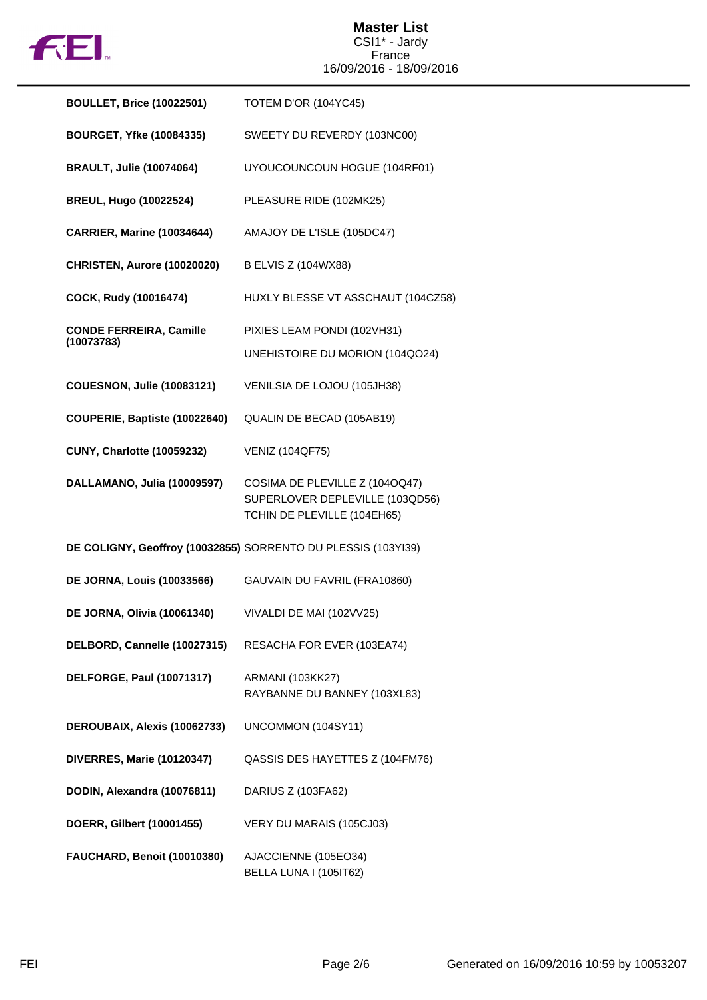

| <b>BOULLET, Brice (10022501)</b>             | TOTEM D'OR (104YC45)                                                                             |
|----------------------------------------------|--------------------------------------------------------------------------------------------------|
| <b>BOURGET, Yfke (10084335)</b>              | SWEETY DU REVERDY (103NC00)                                                                      |
| <b>BRAULT, Julie (10074064)</b>              | UYOUCOUNCOUN HOGUE (104RF01)                                                                     |
| <b>BREUL, Hugo (10022524)</b>                | PLEASURE RIDE (102MK25)                                                                          |
| <b>CARRIER, Marine (10034644)</b>            | AMAJOY DE L'ISLE (105DC47)                                                                       |
| CHRISTEN, Aurore (10020020)                  | <b>B ELVIS Z (104WX88)</b>                                                                       |
| COCK, Rudy (10016474)                        | HUXLY BLESSE VT ASSCHAUT (104CZ58)                                                               |
| <b>CONDE FERREIRA, Camille</b><br>(10073783) | PIXIES LEAM PONDI (102VH31)<br>UNEHISTOIRE DU MORION (104QO24)                                   |
| <b>COUESNON, Julie (10083121)</b>            | VENILSIA DE LOJOU (105JH38)                                                                      |
| COUPERIE, Baptiste (10022640)                | QUALIN DE BECAD (105AB19)                                                                        |
| <b>CUNY, Charlotte (10059232)</b>            | <b>VENIZ (104QF75)</b>                                                                           |
| DALLAMANO, Julia (10009597)                  | COSIMA DE PLEVILLE Z (1040Q47)<br>SUPERLOVER DEPLEVILLE (103QD56)<br>TCHIN DE PLEVILLE (104EH65) |
|                                              | DE COLIGNY, Geoffroy (10032855) SORRENTO DU PLESSIS (103YI39)                                    |
| <b>DE JORNA, Louis (10033566)</b>            | GAUVAIN DU FAVRIL (FRA10860)                                                                     |
| <b>DE JORNA, Olivia (10061340)</b>           | VIVALDI DE MAI (102VV25)                                                                         |
| DELBORD, Cannelle (10027315)                 | RESACHA FOR EVER (103EA74)                                                                       |
| <b>DELFORGE, Paul (10071317)</b>             | <b>ARMANI (103KK27)</b><br>RAYBANNE DU BANNEY (103XL83)                                          |
| DEROUBAIX, Alexis (10062733)                 | UNCOMMON (104SY11)                                                                               |
| <b>DIVERRES, Marie (10120347)</b>            | QASSIS DES HAYETTES Z (104FM76)                                                                  |
| DODIN, Alexandra (10076811)                  | DARIUS Z (103FA62)                                                                               |
| DOERR, Gilbert (10001455)                    | VERY DU MARAIS (105CJ03)                                                                         |
| FAUCHARD, Benoit (10010380)                  | AJACCIENNE (105EO34)<br>BELLA LUNA I (105IT62)                                                   |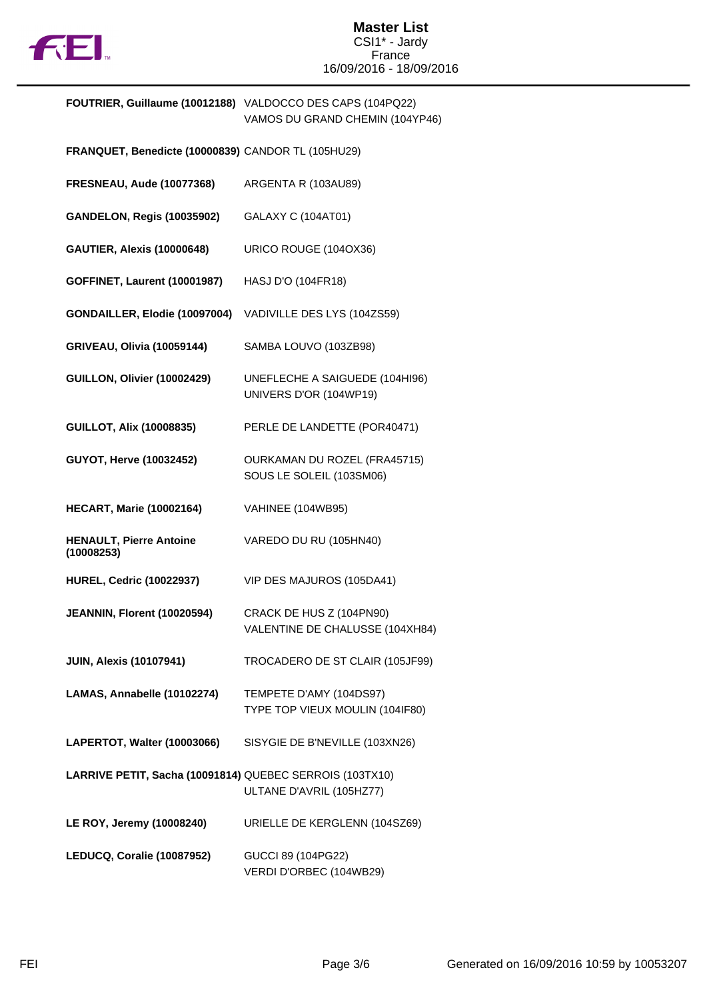

| <b>FOUTRIER, Guillaume (10012188)</b> VALDOCCO DES CAPS (104PQ22) |
|-------------------------------------------------------------------|
| VAMOS DU GRAND CHEMIN (104YP46)                                   |

- **FRANQUET, Benedicte (10000839)** CANDOR TL (105HU29)
- **FRESNEAU, Aude (10077368)** ARGENTA R (103AU89)
- **GANDELON, Regis (10035902)** GALAXY C (104AT01)
- **GAUTIER, Alexis (10000648)** URICO ROUGE (104OX36)
- **GOFFINET, Laurent (10001987)** HASJ D'O (104FR18)
- **GONDAILLER, Elodie (10097004)** VADIVILLE DES LYS (104ZS59)
- **GRIVEAU, Olivia (10059144)** SAMBA LOUVO (103ZB98)
- **GUILLON, Olivier (10002429)** UNEFLECHE A SAIGUEDE (104HI96) UNIVERS D'OR (104WP19)
- **GUILLOT, Alix (10008835)** PERLE DE LANDETTE (POR40471)
- **GUYOT, Herve (10032452)** OURKAMAN DU ROZEL (FRA45715) SOUS LE SOLEIL (103SM06)
- **HECART, Marie (10002164)** VAHINEE (104WB95)
- **HENAULT, Pierre Antoine (10008253)** VAREDO DU RU (105HN40)
- **HUREL, Cedric (10022937)** VIP DES MAJUROS (105DA41)
- **JEANNIN, Florent (10020594)** CRACK DE HUS Z (104PN90) VALENTINE DE CHALUSSE (104XH84)
- **JUIN, Alexis (10107941)** TROCADERO DE ST CLAIR (105JF99)
- **LAMAS, Annabelle (10102274)** TEMPETE D'AMY (104DS97)
	- TYPE TOP VIEUX MOULIN (104IF80)
- **LAPERTOT, Walter (10003066)** SISYGIE DE B'NEVILLE (103XN26)
- **LARRIVE PETIT, Sacha (10091814)** QUEBEC SERROIS (103TX10) ULTANE D'AVRIL (105HZ77)
- **LE ROY, Jeremy (10008240)** URIELLE DE KERGLENN (104SZ69)
- **LEDUCQ, Coralie (10087952)** GUCCI 89 (104PG22) VERDI D'ORBEC (104WB29)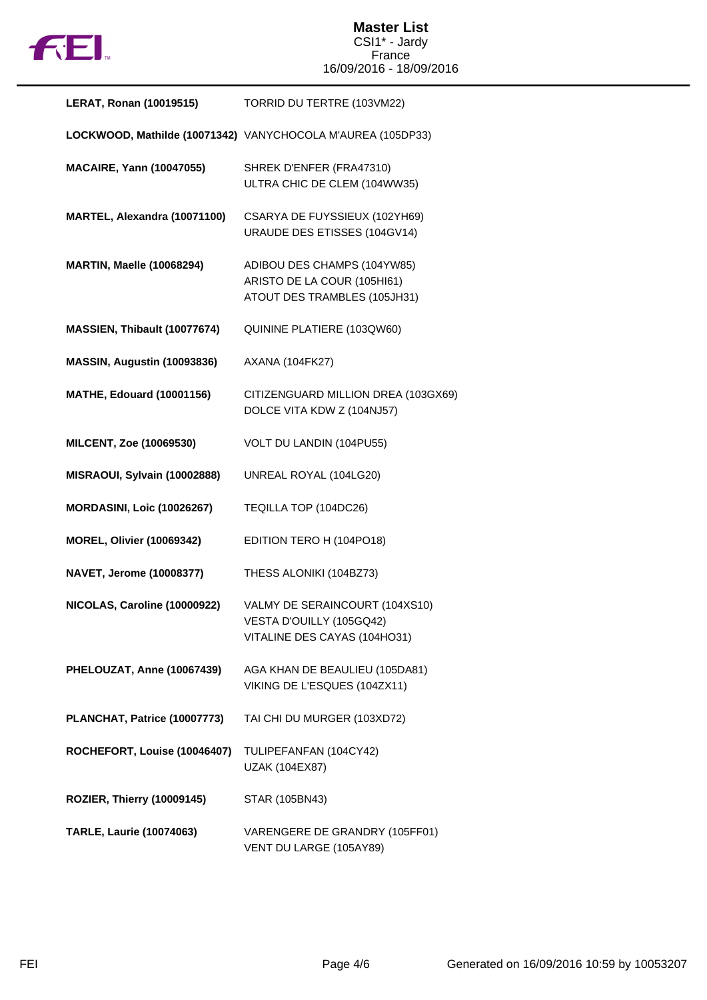

| <b>LERAT, Ronan (10019515)</b>    | TORRID DU TERTRE (103VM22)                                                                 |
|-----------------------------------|--------------------------------------------------------------------------------------------|
|                                   | LOCKWOOD, Mathilde (10071342) VANYCHOCOLA M'AUREA (105DP33)                                |
| <b>MACAIRE, Yann (10047055)</b>   | SHREK D'ENFER (FRA47310)<br>ULTRA CHIC DE CLEM (104WW35)                                   |
| MARTEL, Alexandra (10071100)      | CSARYA DE FUYSSIEUX (102YH69)<br>URAUDE DES ETISSES (104GV14)                              |
| <b>MARTIN, Maelle (10068294)</b>  | ADIBOU DES CHAMPS (104YW85)<br>ARISTO DE LA COUR (105HI61)<br>ATOUT DES TRAMBLES (105JH31) |
| MASSIEN, Thibault (10077674)      | QUININE PLATIERE (103QW60)                                                                 |
| MASSIN, Augustin (10093836)       | <b>AXANA (104FK27)</b>                                                                     |
| <b>MATHE, Edouard (10001156)</b>  | CITIZENGUARD MILLION DREA (103GX69)<br>DOLCE VITA KDW Z (104NJ57)                          |
| MILCENT, Zoe (10069530)           | VOLT DU LANDIN (104PU55)                                                                   |
| MISRAOUI, Sylvain (10002888)      | UNREAL ROYAL (104LG20)                                                                     |
| <b>MORDASINI, Loic (10026267)</b> | TEQILLA TOP (104DC26)                                                                      |
| <b>MOREL, Olivier (10069342)</b>  | EDITION TERO H (104PO18)                                                                   |
| <b>NAVET, Jerome (10008377)</b>   | THESS ALONIKI (104BZ73)                                                                    |
| NICOLAS, Caroline (10000922)      | VALMY DE SERAINCOURT (104XS10)<br>VESTA D'OUILLY (105GQ42)<br>VITALINE DES CAYAS (104HO31) |
| PHELOUZAT, Anne (10067439)        | AGA KHAN DE BEAULIEU (105DA81)<br>VIKING DE L'ESQUES (104ZX11)                             |
| PLANCHAT, Patrice (10007773)      | TAI CHI DU MURGER (103XD72)                                                                |
| ROCHEFORT, Louise (10046407)      | TULIPEFANFAN (104CY42)<br>UZAK (104EX87)                                                   |
| <b>ROZIER, Thierry (10009145)</b> | STAR (105BN43)                                                                             |
| <b>TARLE, Laurie (10074063)</b>   | VARENGERE DE GRANDRY (105FF01)<br>VENT DU LARGE (105AY89)                                  |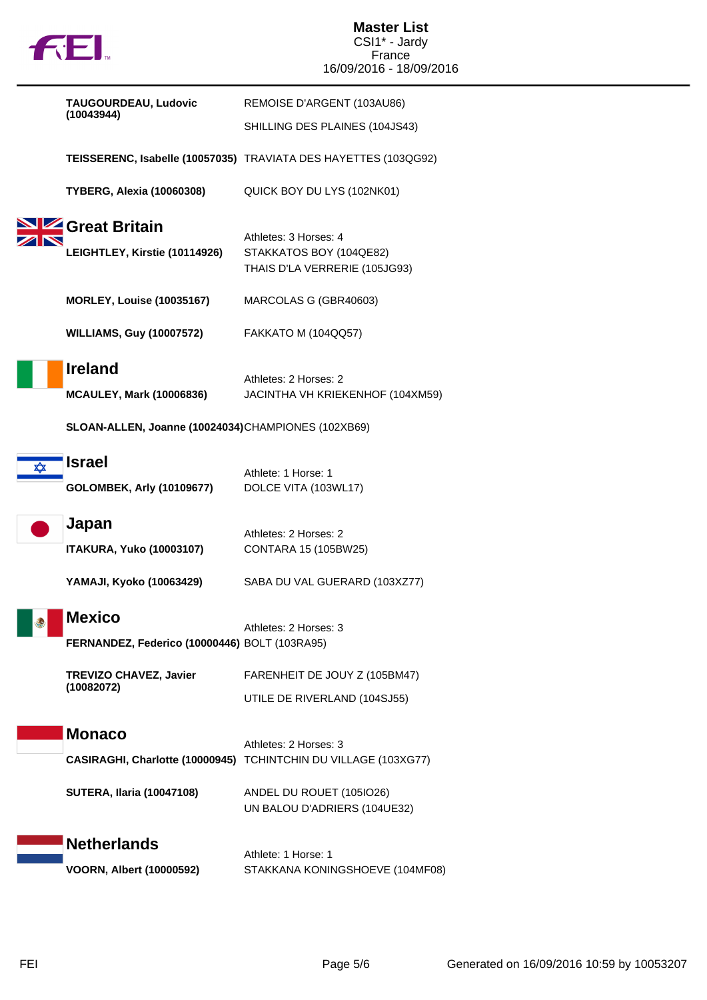

**Master List** CSI1\* - Jardy France 16/09/2016 - 18/09/2016

|   | TAUGOURDEAU, Ludovic                                                                                    | REMOISE D'ARGENT (103AU86)                                                        |
|---|---------------------------------------------------------------------------------------------------------|-----------------------------------------------------------------------------------|
|   | (10043944)                                                                                              | SHILLING DES PLAINES (104JS43)                                                    |
|   |                                                                                                         | TEISSERENC, Isabelle (10057035) TRAVIATA DES HAYETTES (103QG92)                   |
|   | <b>TYBERG, Alexia (10060308)</b>                                                                        | QUICK BOY DU LYS (102NK01)                                                        |
|   | Great Britain<br>LEIGHTLEY, Kirstie (10114926)                                                          | Athletes: 3 Horses: 4<br>STAKKATOS BOY (104QE82)<br>THAIS D'LA VERRERIE (105JG93) |
|   | <b>MORLEY, Louise (10035167)</b>                                                                        | MARCOLAS G (GBR40603)                                                             |
|   | <b>WILLIAMS, Guy (10007572)</b>                                                                         | FAKKATO M (104QQ57)                                                               |
|   | <b>Ireland</b><br><b>MCAULEY, Mark (10006836)</b><br>SLOAN-ALLEN, Joanne (10024034)CHAMPIONES (102XB69) | Athletes: 2 Horses: 2<br>JACINTHA VH KRIEKENHOF (104XM59)                         |
| ∞ | <b>Israel</b>                                                                                           | Athlete: 1 Horse: 1                                                               |
|   | <b>GOLOMBEK, Arly (10109677)</b>                                                                        | DOLCE VITA (103WL17)                                                              |
|   | Japan<br><b>ITAKURA, Yuko (10003107)</b>                                                                | Athletes: 2 Horses: 2<br>CONTARA 15 (105BW25)                                     |
|   | YAMAJI, Kyoko (10063429)                                                                                | SABA DU VAL GUERARD (103XZ77)                                                     |
|   | <b>Mexico</b><br>FERNANDEZ, Federico (10000446) BOLT (103RA95)                                          | Athletes: 2 Horses: 3                                                             |
|   | <b>TREVIZO CHAVEZ, Javier</b><br>(10082072)                                                             | FARENHEIT DE JOUY Z (105BM47)                                                     |
|   |                                                                                                         | UTILE DE RIVERLAND (104SJ55)                                                      |
|   | <b>Monaco</b><br>CASIRAGHI, Charlotte (10000945) TCHINTCHIN DU VILLAGE (103XG77)                        | Athletes: 2 Horses: 3                                                             |
|   |                                                                                                         |                                                                                   |
|   | <b>SUTERA, Ilaria (10047108)</b>                                                                        | ANDEL DU ROUET (105IO26)<br>UN BALOU D'ADRIERS (104UE32)                          |
|   | <b>Netherlands</b><br><b>VOORN, Albert (10000592)</b>                                                   | Athlete: 1 Horse: 1<br>STAKKANA KONINGSHOEVE (104MF08)                            |